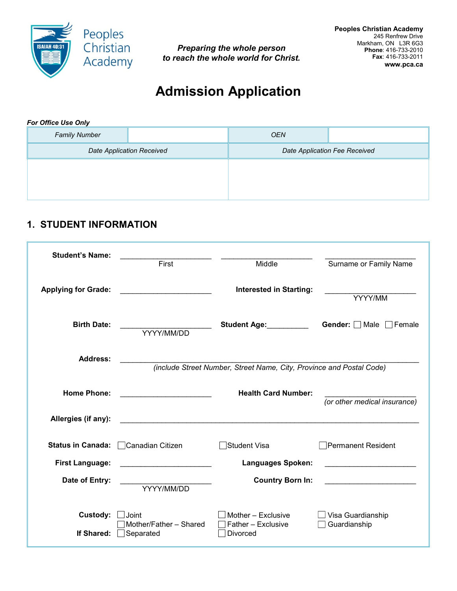

*Preparing the whole person to reach the whole world for Christ.* 

# **Admission Application**

#### *For Office Use Only*

| <b>Family Number</b>             | <b>OEN</b> |                               |
|----------------------------------|------------|-------------------------------|
| <b>Date Application Received</b> |            | Date Application Fee Received |
|                                  |            |                               |
|                                  |            |                               |
|                                  |            |                               |

# **1. STUDENT INFORMATION**

| <b>Student's Name:</b>     | First                                                  | Middle                                                               | Surname or Family Name                 |
|----------------------------|--------------------------------------------------------|----------------------------------------------------------------------|----------------------------------------|
| <b>Applying for Grade:</b> | .                                                      | <b>Interested in Starting:</b>                                       | YYYY/MM                                |
| <b>Birth Date:</b>         | YYYY/MM/DD                                             | Student Age: <b>Student Age:</b>                                     | <b>Gender:</b> $\Box$ Male<br>│ Female |
| <b>Address:</b>            |                                                        | (include Street Number, Street Name, City, Province and Postal Code) |                                        |
| <b>Home Phone:</b>         | <u> 1990 - Johann Barbara, martxa alemani</u> ar       | <b>Health Card Number:</b>                                           | (or other medical insurance)           |
| Allergies (if any):        |                                                        |                                                                      |                                        |
| <b>Status in Canada:</b>   | □ Canadian Citizen                                     | Student Visa                                                         | □Permanent Resident                    |
| <b>First Language:</b>     | <u> 1989 - Paris Amerikaanse konstantinoperatuur (</u> | <b>Languages Spoken:</b>                                             |                                        |
| Date of Entry:             | YYYY/MM/DD                                             | <b>Country Born In:</b>                                              |                                        |
| Custody:<br>If Shared:     | Joint<br>Mother/Father - Shared<br>Separated           | Mother - Exclusive<br>Father - Exclusive<br><b>Divorced</b>          | Visa Guardianship<br>Guardianship      |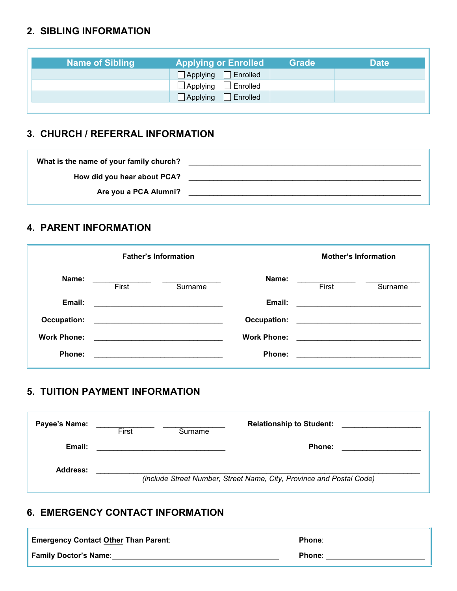# **2. SIBLING INFORMATION**

| <b>Name of Sibling</b> | <b>Applying or Enrolled</b>        | <b>Grade</b> | <b>Date</b> |
|------------------------|------------------------------------|--------------|-------------|
|                        | Applying <b>F</b> Enrolled         |              |             |
|                        | $\exists$ Applying $\Box$ Enrolled |              |             |
|                        | $\Box$ Applying $\Box$ Enrolled    |              |             |

### **3. CHURCH / REFERRAL INFORMATION**

| What is the name of your family church? |  |
|-----------------------------------------|--|
| How did you hear about PCA?             |  |
| Are you a PCA Alumni?                   |  |
|                                         |  |

### **4. PARENT INFORMATION**

|                    |                                                                            | <b>Father's Information</b>                                                |                    |                                                                                                                      | <b>Mother's Information</b> |
|--------------------|----------------------------------------------------------------------------|----------------------------------------------------------------------------|--------------------|----------------------------------------------------------------------------------------------------------------------|-----------------------------|
| Name:              | First                                                                      | Surname                                                                    | Name:              | First                                                                                                                | Surname                     |
| Email:             |                                                                            |                                                                            | Email:             |                                                                                                                      |                             |
| Occupation:        |                                                                            | the control of the control of the control of the control of the control of | Occupation:        |                                                                                                                      |                             |
| <b>Work Phone:</b> | the control of the control of the control of the control of the control of |                                                                            | <b>Work Phone:</b> | <u> 2000 - 2000 - 2000 - 2000 - 2000 - 2000 - 2000 - 2000 - 2000 - 2000 - 2000 - 2000 - 2000 - 2000 - 2000 - 200</u> |                             |
| Phone:             |                                                                            |                                                                            | Phone:             |                                                                                                                      |                             |

#### **5. TUITION PAYMENT INFORMATION**

| Payee's Name: | First | Surname | <b>Relationship to Student:</b>                                      |  |
|---------------|-------|---------|----------------------------------------------------------------------|--|
| Email:        |       |         | Phone:                                                               |  |
| Address:      |       |         | (include Street Number, Street Name, City, Province and Postal Code) |  |

# **6. EMERGENCY CONTACT INFORMATION**

| <b>Emergency Contact Other Than Parent:</b> | Phone: |
|---------------------------------------------|--------|
| <b>Family Doctor's Name:</b>                | Phone: |

×,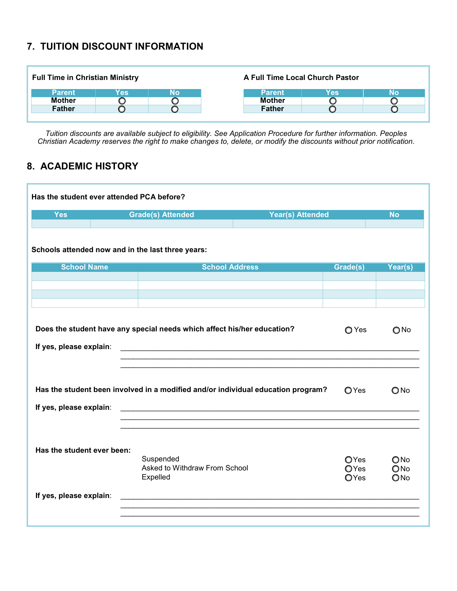#### **7. TUITION DISCOUNT INFORMATION**

| <b>Full Time in Christian Ministry</b> |     |    |               | A Full Time Local Church Pastor |    |
|----------------------------------------|-----|----|---------------|---------------------------------|----|
| <b>Parent</b>                          | Yes | No | <b>Parent</b> | Yes                             | No |
| <b>Mother</b>                          |     |    | <b>Mother</b> |                                 |    |
| <b>Father</b>                          |     |    | <b>Father</b> |                                 |    |
|                                        |     |    |               |                                 |    |

*Tuition discounts are available subject to eligibility. See Application Procedure for further information. Peoples Christian Academy reserves the right to make changes to, delete, or modify the discounts without prior notification.*

# **8. ACADEMIC HISTORY**

| Schools attended now and in the last three years:<br><b>School Name</b><br><b>School Address</b><br>Grade(s)<br>Does the student have any special needs which affect his/her education?<br>O Yes<br>If yes, please explain:<br><u> 2000 - Jan Barbarat, martin da basar da basar da basa da basa da basa da basa da basa da basa da basa da basa </u><br><u> 1989 - Johann Stein, marwolaethau a bhann an t-Amhain an t-Amhain an t-Amhain an t-Amhain an t-Amhain an t-A</u><br>Has the student been involved in a modified and/or individual education program?<br>OYes<br>Has the student ever been:<br>Suspended<br>OYes<br>Asked to Withdraw From School<br>OYes<br>Expelled<br>OYes | <b>Yes</b>              | <b>Grade(s) Attended</b> | <b>Year(s) Attended</b> | <b>No</b>                   |
|-------------------------------------------------------------------------------------------------------------------------------------------------------------------------------------------------------------------------------------------------------------------------------------------------------------------------------------------------------------------------------------------------------------------------------------------------------------------------------------------------------------------------------------------------------------------------------------------------------------------------------------------------------------------------------------------|-------------------------|--------------------------|-------------------------|-----------------------------|
|                                                                                                                                                                                                                                                                                                                                                                                                                                                                                                                                                                                                                                                                                           |                         |                          |                         |                             |
|                                                                                                                                                                                                                                                                                                                                                                                                                                                                                                                                                                                                                                                                                           |                         |                          |                         | Year(s)                     |
|                                                                                                                                                                                                                                                                                                                                                                                                                                                                                                                                                                                                                                                                                           |                         |                          |                         |                             |
|                                                                                                                                                                                                                                                                                                                                                                                                                                                                                                                                                                                                                                                                                           |                         |                          |                         |                             |
|                                                                                                                                                                                                                                                                                                                                                                                                                                                                                                                                                                                                                                                                                           |                         |                          |                         |                             |
|                                                                                                                                                                                                                                                                                                                                                                                                                                                                                                                                                                                                                                                                                           |                         |                          |                         | $\bigcirc$ No               |
|                                                                                                                                                                                                                                                                                                                                                                                                                                                                                                                                                                                                                                                                                           |                         |                          |                         |                             |
|                                                                                                                                                                                                                                                                                                                                                                                                                                                                                                                                                                                                                                                                                           |                         |                          |                         | $\bigcirc$ No               |
|                                                                                                                                                                                                                                                                                                                                                                                                                                                                                                                                                                                                                                                                                           | If yes, please explain: |                          |                         |                             |
| If yes, please explain:                                                                                                                                                                                                                                                                                                                                                                                                                                                                                                                                                                                                                                                                   |                         |                          |                         | $\bigcirc$ No<br>ONo<br>ONo |